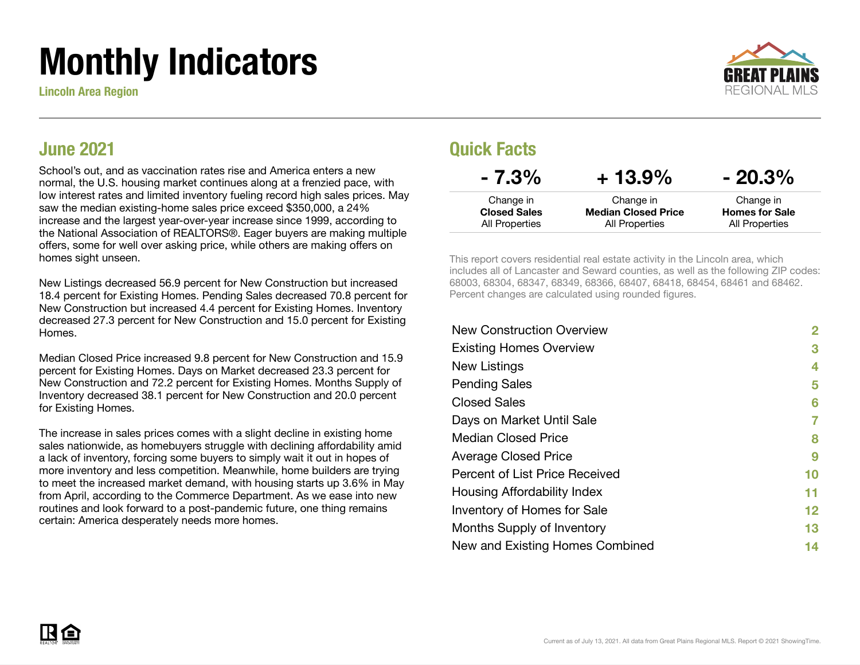# Monthly Indicators

Lincoln Area Region



### June 2021

School's out, and as vaccination rates rise and America enters a new normal, the U.S. housing market continues along at a frenzied pace, with low interest rates and limited inventory fueling record high sales prices. May saw the median existing-home sales price exceed \$350,000, a 24% increase and the largest year-over-year increase since 1999, according to the National Association of REALTORS®. Eager buyers are making multiple offers, some for well over asking price, while others are making offers on homes sight unseen.

New Listings decreased 56.9 percent for New Construction but increased 18.4 percent for Existing Homes. Pending Sales decreased 70.8 percent for New Construction but increased 4.4 percent for Existing Homes. Inventory decreased 27.3 percent for New Construction and 15.0 percent for Existing Homes.

Median Closed Price increased 9.8 percent for New Construction and 15.9 percent for Existing Homes. Days on Market decreased 23.3 percent for New Construction and 72.2 percent for Existing Homes. Months Supply of Inventory decreased 38.1 percent for New Construction and 20.0 percent for Existing Homes.

The increase in sales prices comes with a slight decline in existing home sales nationwide, as homebuyers struggle with declining affordability amid a lack of inventory, forcing some buyers to simply wait it out in hopes of more inventory and less competition. Meanwhile, home builders are trying to meet the increased market demand, with housing starts up 3.6% in May from April, according to the Commerce Department. As we ease into new routines and look forward to a post-pandemic future, one thing remains certain: America desperately needs more homes.

### Quick Facts

| $-7.3\%$            | $+13.9\%$                  | $-20.3\%$             |
|---------------------|----------------------------|-----------------------|
| Change in           | Change in                  | Change in             |
| <b>Closed Sales</b> | <b>Median Closed Price</b> | <b>Homes for Sale</b> |
| All Properties      | All Properties             | All Properties        |

This report covers residential real estate activity in the Lincoln area, which includes all of Lancaster and Seward counties, as well as the following ZIP codes: 68003, 68304, 68347, 68349, 68366, 68407, 68418, 68454, 68461 and 68462. Percent changes are calculated using rounded figures.

| <b>New Construction Overview</b> | 2  |
|----------------------------------|----|
| <b>Existing Homes Overview</b>   | 3  |
| New Listings                     | 4  |
| <b>Pending Sales</b>             | 5  |
| <b>Closed Sales</b>              | 6  |
| Days on Market Until Sale        | 7  |
| <b>Median Closed Price</b>       | 8  |
| <b>Average Closed Price</b>      | 9  |
| Percent of List Price Received   | 10 |
| Housing Affordability Index      | 11 |
| Inventory of Homes for Sale      | 12 |
| Months Supply of Inventory       | 13 |
| New and Existing Homes Combined  | 14 |

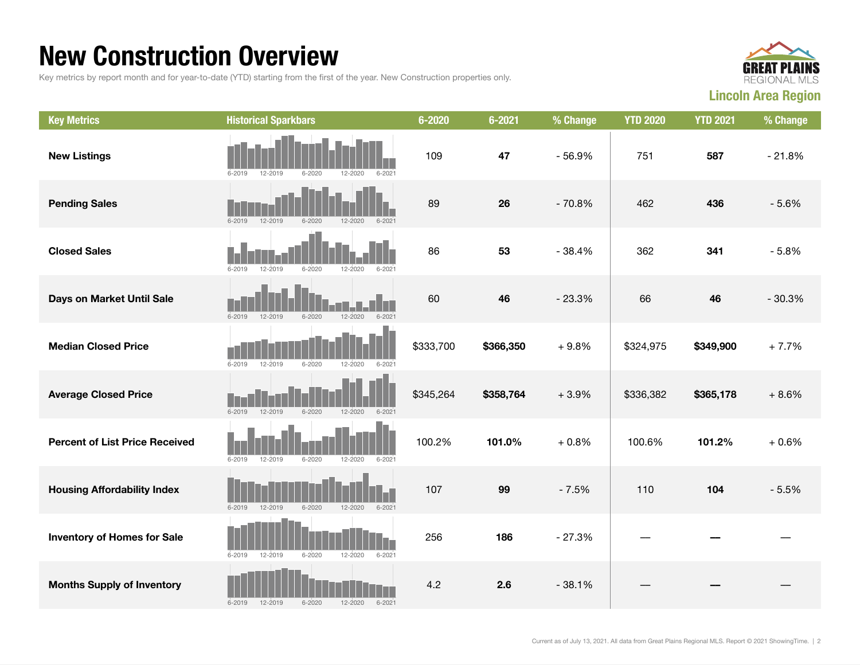### New Construction Overview

Key metrics by report month and for year-to-date (YTD) starting from the first of the year. New Construction properties only.



| <b>Key Metrics</b>                    | <b>Historical Sparkbars</b>                                          | $6 - 2020$ | $6 - 2021$ | % Change | <b>YTD 2020</b> | <b>YTD 2021</b> | % Change |
|---------------------------------------|----------------------------------------------------------------------|------------|------------|----------|-----------------|-----------------|----------|
| <b>New Listings</b>                   | 12-2019<br>$6 - 2020$<br>12-2020<br>6-2019<br>$6 - 2021$             | 109        | 47         | $-56.9%$ | 751             | 587             | $-21.8%$ |
| <b>Pending Sales</b>                  | $6 - 2019$<br>12-2019<br>$6 - 2020$<br>$12 - 2020$<br>$6 - 2021$     | 89         | 26         | $-70.8%$ | 462             | 436             | $-5.6%$  |
| <b>Closed Sales</b>                   | 12-2019<br>12-2020<br>$6 - 2019$<br>$6 - 2020$<br>$6 - 202$          | 86         | 53         | $-38.4%$ | 362             | 341             | $-5.8%$  |
| Days on Market Until Sale             | $6 - 2019$<br>$12 - 2019$<br>$6 - 2020$<br>12-2020<br>$6 - 2021$     | 60         | 46         | $-23.3%$ | 66              | 46              | $-30.3%$ |
| <b>Median Closed Price</b>            | $6 - 2020$<br>12-2020<br>$6 - 2019$<br>12-2019<br>$6 - 2021$         | \$333,700  | \$366,350  | $+9.8%$  | \$324,975       | \$349,900       | $+7.7%$  |
| <b>Average Closed Price</b>           | $6 - 2019$<br>12-2019<br>$6 - 2020$<br>12-2020<br>$6 - 2021$         | \$345,264  | \$358,764  | $+3.9%$  | \$336,382       | \$365,178       | $+8.6%$  |
| <b>Percent of List Price Received</b> | $6 - 2019$<br>$12 - 2019$<br>$6 - 2020$<br>$12 - 2020$<br>$6 - 2021$ | 100.2%     | 101.0%     | $+0.8%$  | 100.6%          | 101.2%          | $+0.6%$  |
| <b>Housing Affordability Index</b>    | $6 - 2019$<br>12-2019<br>$6 - 2020$<br>$12 - 2020$<br>$6 - 2021$     | 107        | 99         | $-7.5%$  | 110             | 104             | $-5.5%$  |
| <b>Inventory of Homes for Sale</b>    | 12-2019<br>$6 - 2020$<br>$6 - 2019$<br>12-2020<br>$6 - 2021$         | 256        | 186        | $-27.3%$ |                 |                 |          |
| <b>Months Supply of Inventory</b>     | $6 - 2019$<br>$6 - 2020$<br>12-2020<br>$6 - 2021$<br>12-2019         | 4.2        | 2.6        | $-38.1%$ |                 |                 |          |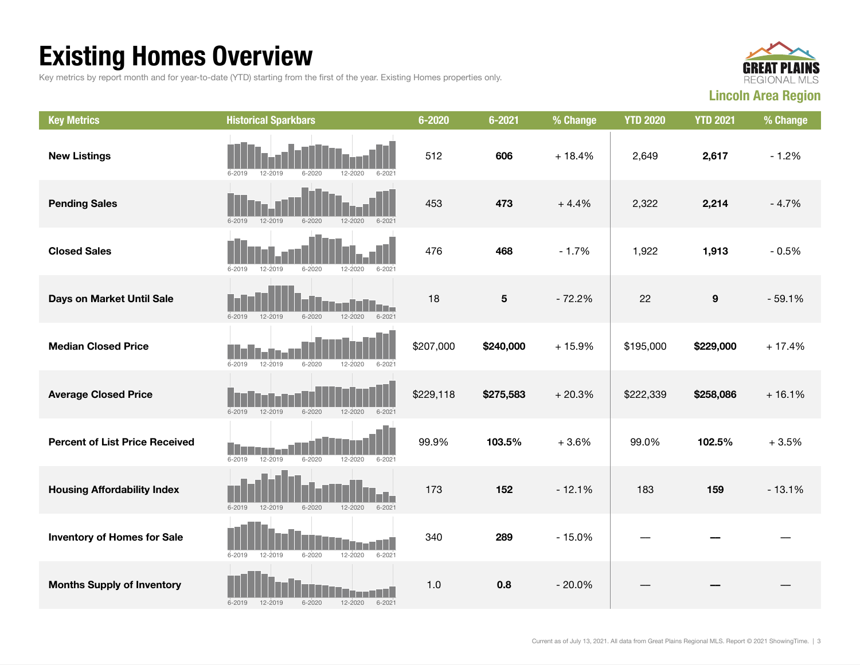## Existing Homes Overview

Key metrics by report month and for year-to-date (YTD) starting from the first of the year. Existing Homes properties only.



| <b>Key Metrics</b>                    | <b>Historical Sparkbars</b>                                          | $6 - 2020$ | $6 - 2021$ | % Change | <b>YTD 2020</b> | <b>YTD 2021</b>  | % Change |
|---------------------------------------|----------------------------------------------------------------------|------------|------------|----------|-----------------|------------------|----------|
| <b>New Listings</b>                   | $6 - 2020$<br>12-2020<br>$6 - 2021$<br>6-2019<br>12-2019             | 512        | 606        | $+18.4%$ | 2,649           | 2,617            | $-1.2%$  |
| <b>Pending Sales</b>                  | $6 - 2019$<br>12-2019<br>$6 - 2020$<br>$12 - 2020$<br>$6 - 2021$     | 453        | 473        | $+4.4%$  | 2,322           | 2,214            | $-4.7%$  |
| <b>Closed Sales</b>                   | $6 - 2019$<br>12-2019<br>$6 - 2020$<br>12-2020<br>$6 - 202$          | 476        | 468        | $-1.7%$  | 1,922           | 1,913            | $-0.5%$  |
| Days on Market Until Sale             | $6 - 2019$<br>$12 - 2019$<br>$6 - 2020$<br>12-2020<br>$6 - 2021$     | 18         | $\sqrt{5}$ | $-72.2%$ | 22              | $\boldsymbol{9}$ | $-59.1%$ |
| <b>Median Closed Price</b>            | $6 - 2019$<br>12-2019<br>$6 - 2020$<br>12-2020<br>$6 - 2021$         | \$207,000  | \$240,000  | $+15.9%$ | \$195,000       | \$229,000        | $+17.4%$ |
| <b>Average Closed Price</b>           | $6 - 2019$<br>$12 - 2019$<br>$6 - 2020$<br>$12 - 2020$<br>$6 - 2021$ | \$229,118  | \$275,583  | $+20.3%$ | \$222,339       | \$258,086        | $+16.1%$ |
| <b>Percent of List Price Received</b> | 12-2019<br>$6 - 2020$<br>$6 - 2019$<br>$12 - 2020$<br>$6 - 2021$     | 99.9%      | 103.5%     | $+3.6%$  | 99.0%           | 102.5%           | $+3.5%$  |
| <b>Housing Affordability Index</b>    | $6 - 2019$<br>12-2019<br>$6 - 2020$<br>12-2020<br>$6 - 2021$         | 173        | 152        | $-12.1%$ | 183             | 159              | $-13.1%$ |
| <b>Inventory of Homes for Sale</b>    | $6 - 2021$<br>$6 - 2019$<br>12-2019<br>$6 - 2020$<br>12-2020         | 340        | 289        | $-15.0%$ |                 |                  |          |
| <b>Months Supply of Inventory</b>     | $6 - 2020$<br>$6 - 2019$<br>12-2019<br>12-2020<br>$6 - 2021$         | 1.0        | 0.8        | $-20.0%$ |                 |                  |          |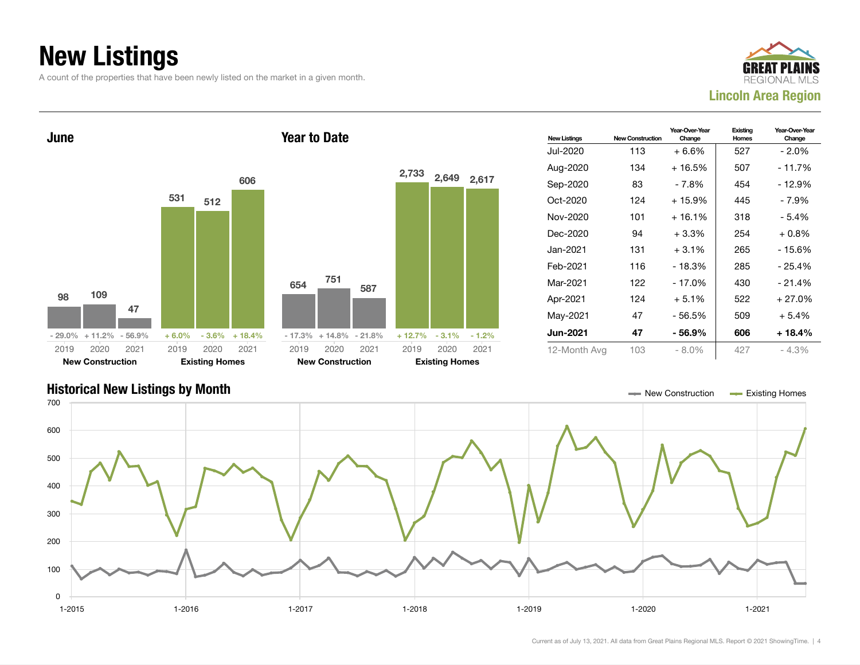## New Listings

A count of the properties that have been newly listed on the market in a given month.





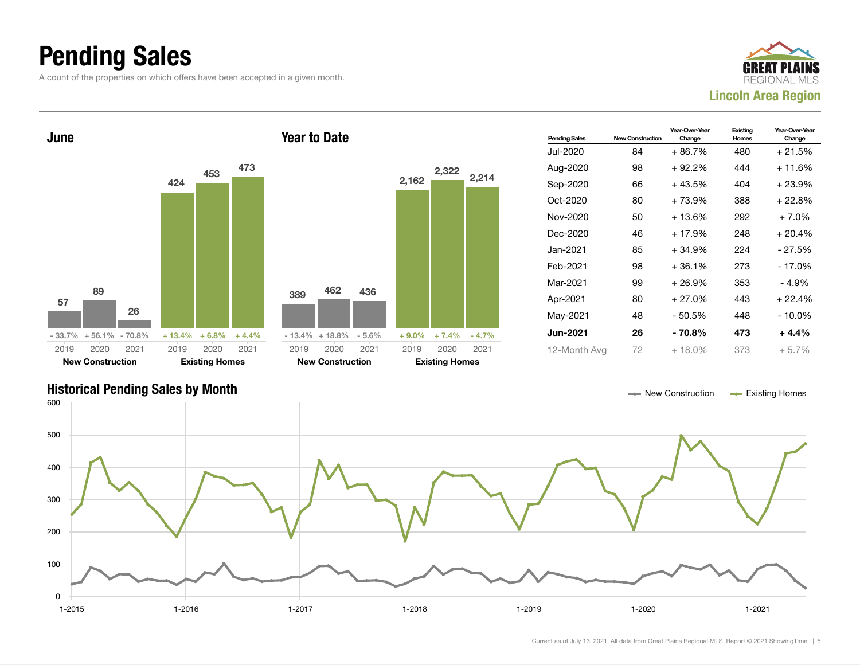### Pending Sales

A count of the properties on which offers have been accepted in a given month.





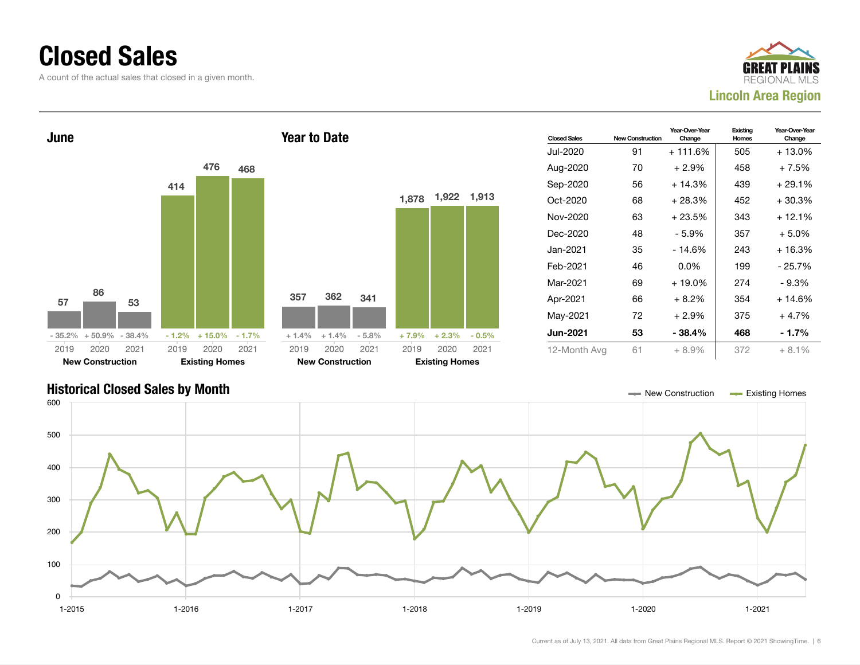### Closed Sales

A count of the actual sales that closed in a given month.





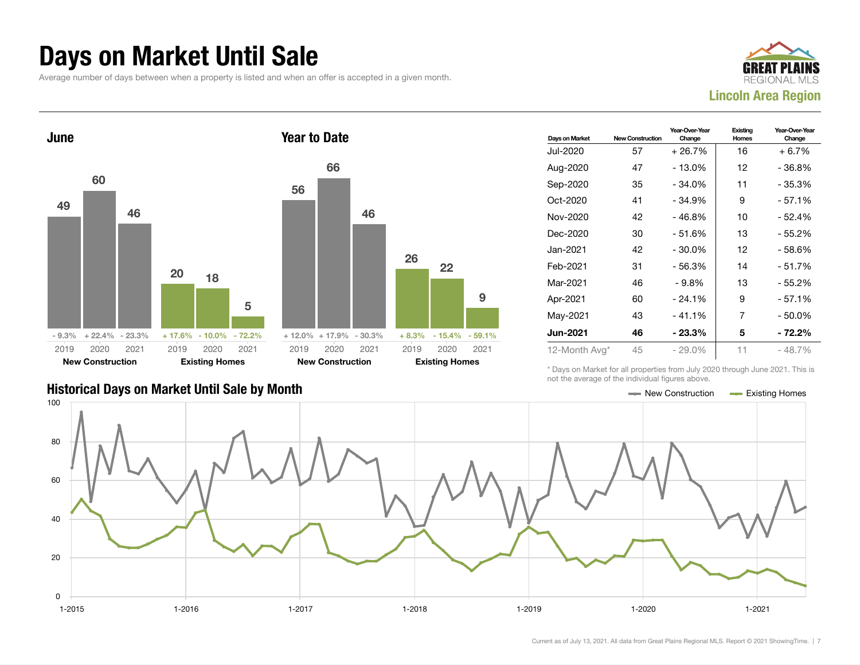### Days on Market Until Sale

Average number of days between when a property is listed and when an offer is accepted in a given month.





### Historical Days on Market Until Sale by Month New York New York New York New York New York New York Homes Existing Homes

| Days on Market  | <b>New Construction</b> | Year-Over-Year<br>Change | Existing<br>Homes | Year-Over-Year<br>Change |
|-----------------|-------------------------|--------------------------|-------------------|--------------------------|
| Jul-2020        | 57                      | $+26.7%$                 | 16                | $+6.7\%$                 |
| Aug-2020        | 47                      | $-13.0%$                 | 12                | - 36.8%                  |
| Sep-2020        | 35                      | $-34.0%$                 | 11                | $-35.3%$                 |
| Oct-2020        | 41                      | $-34.9%$                 | 9                 | - 57.1%                  |
| Nov-2020        | 42                      | $-46.8%$                 | 10                | - 52.4%                  |
| Dec-2020        | 30                      | $-51.6%$                 | 13                | $-55.2%$                 |
| Jan-2021        | 42                      | $-30.0%$                 | 12                | - 58.6%                  |
| Feb-2021        | 31                      | $-56.3%$                 | 14                | $-51.7%$                 |
| Mar-2021        | 46                      | $-9.8\%$                 | 13                | - 55.2%                  |
| Apr-2021        | 60                      | $-24.1%$                 | 9                 | $-57.1%$                 |
| May-2021        | 43                      | $-41.1%$                 | 7                 | $-50.0%$                 |
| <b>Jun-2021</b> | 46                      | $-23.3\%$                | 5                 | - 72.2%                  |
| 12-Month Avg*   | 45                      | - 29.0%                  | 11                | $-48.7\%$                |

\* Days on Market for all properties from July 2020 through June 2021. This is not the average of the individual figures above.



22

9

2020 2021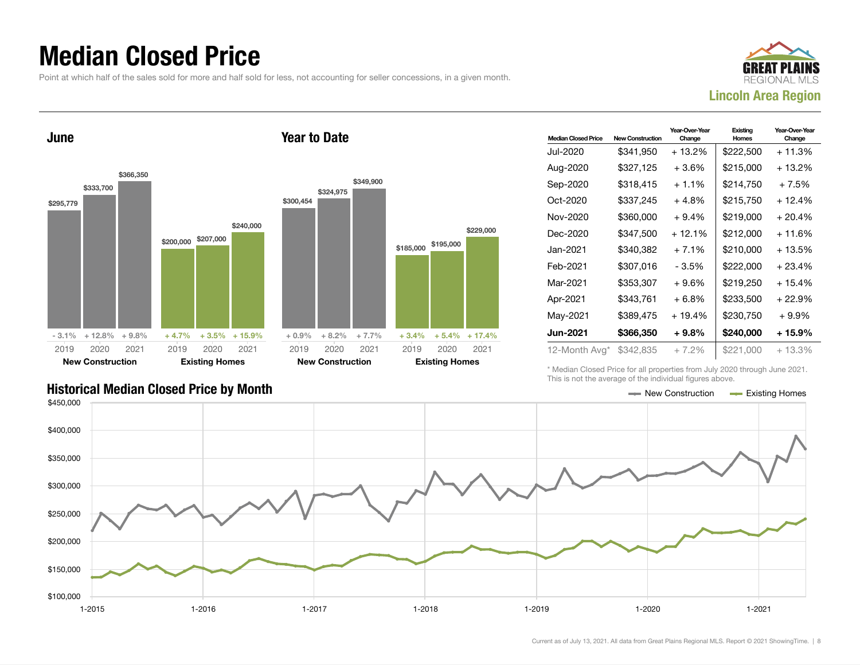### Median Closed Price

Point at which half of the sales sold for more and half sold for less, not accounting for seller concessions, in a given month.



June \$295,779 \$333,700 \$366,350  $-3.1\% + 12.8\% + 9.8\%$ \$200,000 \$207,000 \$240,000  $+4.7\%$   $+3.5\%$   $+15.9\%$ 2019 New Construction 2020 2021 2019 Existing Homes 2020 2021 Year to Date \$300,454 \$324,975 \$349,900  $+ 0.9\% + 8.2\% + 7.7\%$ \$185,000 \$195,000  $+3.4\% + 5.4\% + 17.4\%$ 2019 New Construction 2020 2021 2019 Existing Homes 2020 2021

| <b>Median Closed Price</b> | <b>New Construction</b> | Year-Over-Year<br>Change | Existing<br>Homes | Year-Over-Year<br>Change |
|----------------------------|-------------------------|--------------------------|-------------------|--------------------------|
| Jul-2020                   | \$341,950               | + 13.2%                  | \$222,500         | + 11.3%                  |
| Aug-2020                   | \$327,125               | + 3.6%                   | \$215,000         | + 13.2%                  |
| Sep-2020                   | \$318,415               | $+1.1%$                  | \$214,750         | $+7.5%$                  |
| Oct-2020                   | \$337,245               | + 4.8%                   | \$215,750         | + 12.4%                  |
| Nov-2020                   | \$360,000               | $+9.4%$                  | \$219,000         | $+20.4%$                 |
| Dec-2020                   | \$347,500               | $+12.1%$                 | \$212,000         | + 11.6%                  |
| Jan-2021                   | \$340,382               | + 7.1%                   | \$210,000         | + 13.5%                  |
| Feb-2021                   | \$307,016               | - 3.5%                   | \$222,000         | $+23.4%$                 |
| Mar-2021                   | \$353,307               | $+9.6%$                  | \$219,250         | $+15.4%$                 |
| Apr-2021                   | \$343,761               | $+6.8%$                  | \$233.500         | + 22.9%                  |
| May-2021                   | \$389,475               | + 19.4%                  | \$230,750         | $+9.9\%$                 |
| <b>Jun-2021</b>            | \$366,350               | $+9.8%$                  | \$240,000         | $+15.9%$                 |
| 12-Month Avg*              | \$342,835               | + 7.2%                   | \$221,000         | + 13.3%                  |

Historical Median Closed Price by Month **New Act of Act of Act of Act of Act of Act of Act of Act of Act of Act of Act of Act of Act of Act of Act of Act of Act of Act of Act of Act of Act of Act of Act of Act of Act of Ac** 

\* Median Closed Price for all properties from July 2020 through June 2021. This is not the average of the individual figures above.



\$229,000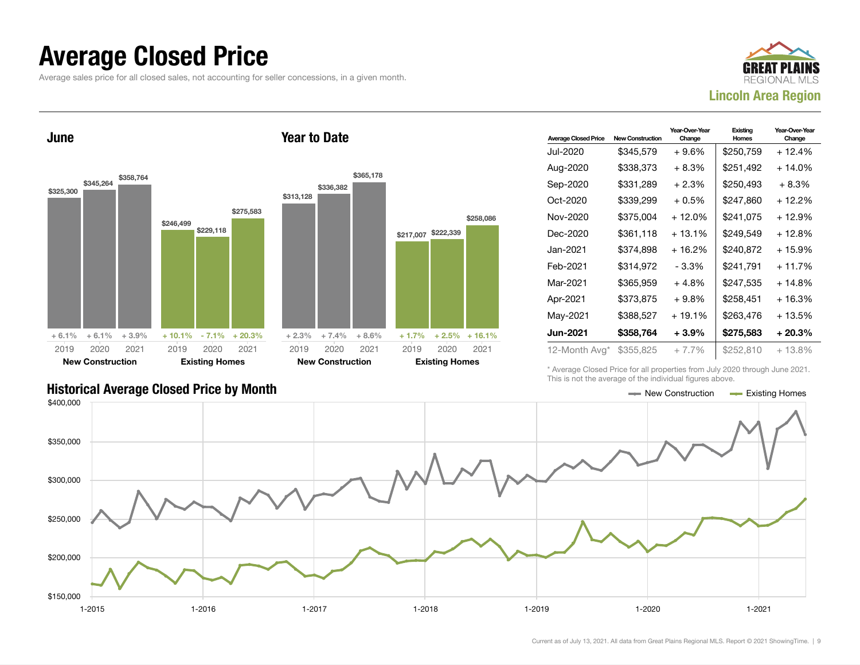### Average Closed Price

Average sales price for all closed sales, not accounting for seller concessions, in a given month.



June \$325,300 \$345,264 \$358,764  $+ 6.1\% + 6.1\% + 3.9\%$ \$246,499 \$229,118 \$275,583  $+ 10.1\% - 7.1\% + 20.3\%$ 2019 New Construction 2020 2021 2019 Existing Homes 2020 2021 Year to Date \$313,128 \$336,382 \$365,178  $+ 2.3\% + 7.4\% + 8.6\%$ \$217,007 \$222,339 \$258,086  $+1.7\%$   $+2.5\%$   $+16.1\%$ 2019 New Construction 2020 2021 2019 Existing Homes 2020 2021

| <b>Average Closed Price</b> | <b>New Construction</b> | Year-Over-Year<br>Change | Existing<br>Homes | Year-Over-Year<br>Change |
|-----------------------------|-------------------------|--------------------------|-------------------|--------------------------|
| Jul-2020                    | \$345,579               | + 9.6%                   | \$250,759         | + 12.4%                  |
| Aug-2020                    | \$338,373               | + 8.3%                   | \$251,492         | $+14.0%$                 |
| Sep-2020                    | \$331,289               | $+2.3%$                  | \$250,493         | $+8.3%$                  |
| Oct-2020                    | \$339,299               | + 0.5%                   | \$247.860         | + 12.2%                  |
| Nov-2020                    | \$375,004               | $+12.0%$                 | \$241,075         | + 12.9%                  |
| Dec-2020                    | \$361,118               | $+13.1%$                 | \$249,549         | + 12.8%                  |
| Jan-2021                    | \$374.898               | $+16.2%$                 | \$240,872         | + 15.9%                  |
| Feb-2021                    | \$314,972               | - 3.3%                   | \$241,791         | $+11.7%$                 |
| Mar-2021                    | \$365,959               | + 4.8%                   | \$247.535         | + 14.8%                  |
| Apr-2021                    | \$373,875               | $+9.8%$                  | \$258,451         | $+16.3%$                 |
| May-2021                    | \$388,527               | $+19.1%$                 | \$263,476         | + 13.5%                  |
| <b>Jun-2021</b>             | \$358,764               | + 3.9%                   | \$275,583         | $+20.3%$                 |
| 12-Month Avg*               | \$355,825               | + 7.7%                   | \$252,810         | $+13.8\%$                |

\* Average Closed Price for all properties from July 2020 through June 2021. This is not the average of the individual figures above.

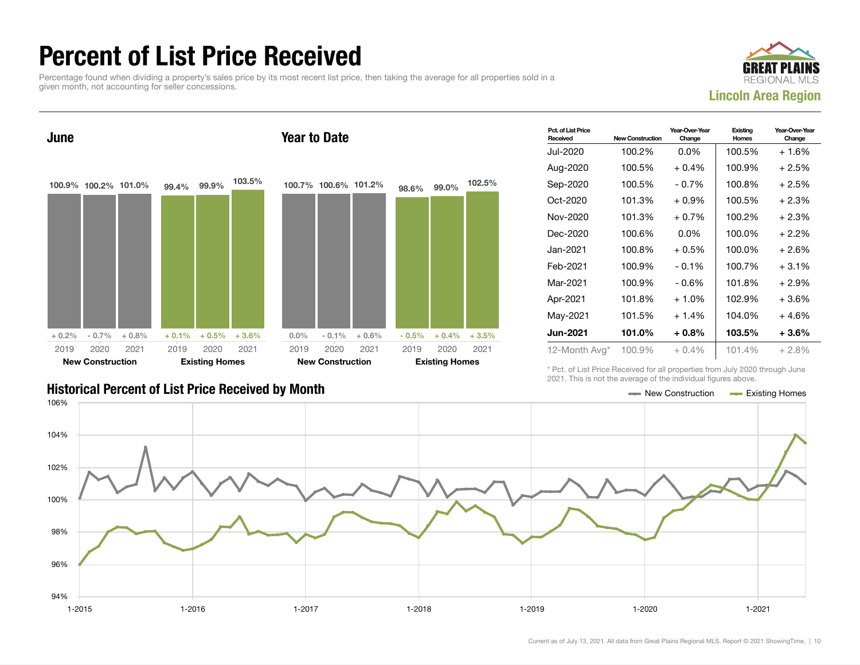### Percent of List Price Received

Percentage found when dividing a property's sales price by its most recent list price, then taking the average for all properties sold in a given month, not accounting for seller concessions.





| Pct. of List Price<br>Received | <b>New Construction</b> | Year-Over-Year<br>Change | Existing<br>Homes | Year-Over-Year<br>Change |
|--------------------------------|-------------------------|--------------------------|-------------------|--------------------------|
| Jul-2020                       | 100.2%                  | $0.0\%$                  | 100.5%            | $+1.6%$                  |
| Aug-2020                       | 100.5%                  | $+0.4%$                  | 100.9%            | $+2.5%$                  |
| Sep-2020                       | 100.5%                  | $-0.7\%$                 | 100.8%            | $+2.5%$                  |
| Oct-2020                       | 101.3%                  | $+0.9\%$                 | 100.5%            | $+2.3%$                  |
| Nov-2020                       | 101.3%                  | $+0.7%$                  | 100.2%            | $+2.3%$                  |
| Dec-2020                       | 100.6%                  | $0.0\%$                  | 100.0%            | $+2.2\%$                 |
| Jan-2021 <b>.</b>              | 100.8%                  | $+0.5%$                  | 100.0%            | $+2.6%$                  |
| Feb-2021                       | 100.9%                  | $-0.1%$                  | 100.7%            | $+3.1%$                  |
| Mar-2021                       | 100.9%                  | - 0.6%                   | 101.8%            | $+2.9%$                  |
| Apr-2021                       | 101.8%                  | $+1.0%$                  | 102.9%            | $+3.6%$                  |
| May-2021                       | 101.5%                  | $+1.4%$                  | 104.0%            | + 4.6%                   |
| Jun-2021                       | 101.0%                  | $+0.8%$                  | 103.5%            | $+3.6\%$                 |
| 12-Month Avg*                  | 100.9%                  | $+0.4\%$                 | 101.4%            | $+2.8%$                  |

\* Pct. of List Price Received for all properties from July 2020 through June 2021. This is not the average of the individual figures above.



### Historical Percent of List Price Received by Month New York New York New York New York New York New York New York New York New York New York New York New York New York New York New York New York New York New York New York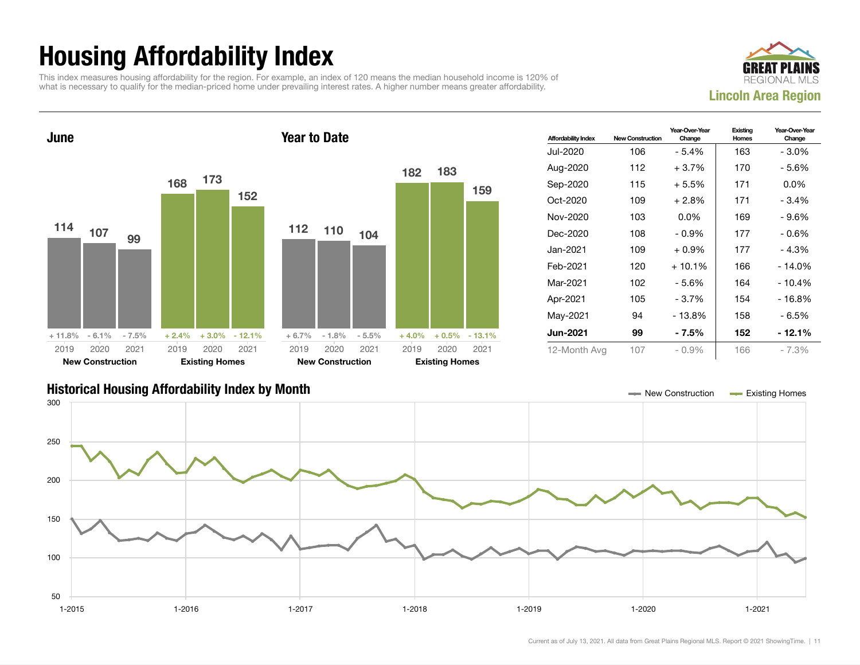## Housing Affordability Index

This index measures housing affordability for the region. For example, an index of 120 means the median household income is 120% of what is necessary to qualify for the median-priced home under prevailing interest rates. A higher number means greater affordability.





| <b>Affordability Index</b> | <b>New Construction</b> | Year-Over-Year<br>Change | Existing<br>Homes | Year-Over-Year<br>Change |
|----------------------------|-------------------------|--------------------------|-------------------|--------------------------|
| Jul-2020                   | 106                     | - 5.4%                   | 163               | $-3.0\%$                 |
| Aug-2020                   | 112                     | $+3.7%$                  | 170               | - 5.6%                   |
| Sep-2020                   | 115                     | $+5.5%$                  | 171               | $0.0\%$                  |
| Oct-2020                   | 109                     | $+2.8\%$                 | 171               | $-3.4%$                  |
| Nov-2020                   | 103                     | $0.0\%$                  | 169               | $-9.6%$                  |
| Dec-2020                   | 108                     | $-0.9\%$                 | 177               | - 0.6%                   |
| Jan-2021                   | 109                     | $+0.9\%$                 | 177               | $-4.3%$                  |
| Feb-2021                   | 120                     | $+10.1%$                 | 166               | - 14.0%                  |
| Mar-2021                   | 102                     | $-5.6%$                  | 164               | - 10.4%                  |
| Apr-2021                   | 105                     | - 3.7%                   | 154               | $-16.8%$                 |
| May-2021                   | 94                      | - 13.8%                  | 158               | - 6.5%                   |
| <b>Jun-2021</b>            | 99                      | - 7.5%                   | 152               | - 12.1%                  |
| 12-Month Avg               | 107                     | $-0.9\%$                 | 166               | $-7.3%$                  |

### Historical Housing Affordability Index by Month New Construction Existing Homes

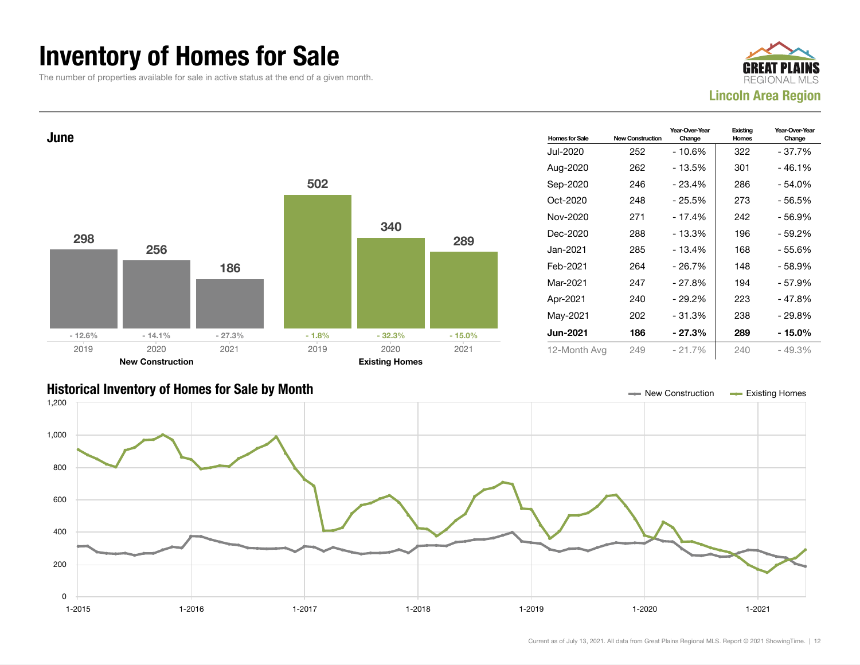### Inventory of Homes for Sale

The number of properties available for sale in active status at the end of a given month.





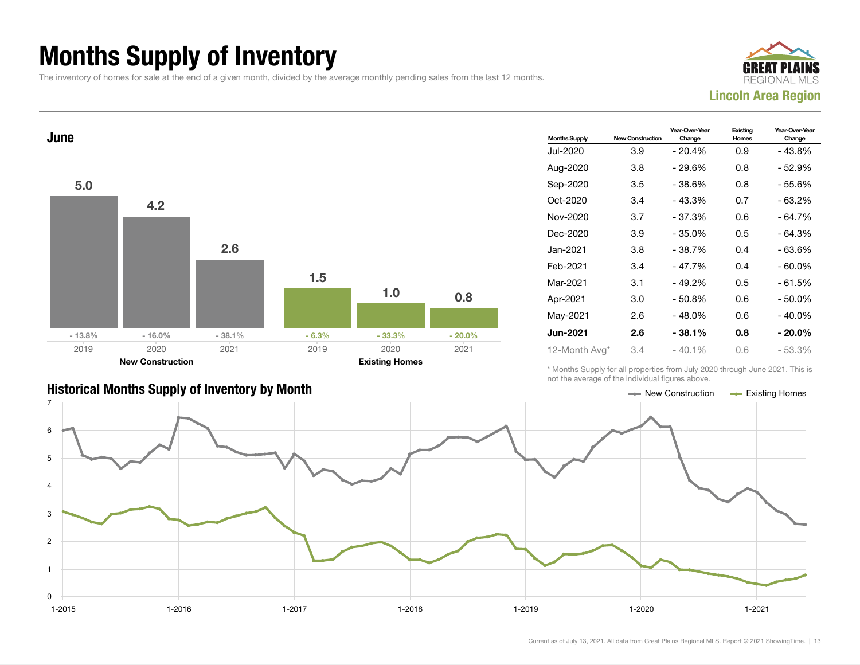## Months Supply of Inventory

The inventory of homes for sale at the end of a given month, divided by the average monthly pending sales from the last 12 months.





| <b>Months Supply</b> | <b>New Construction</b> | Year-Over-Year<br>Change | Existing<br>Homes | Year-Over-Year<br>Change |
|----------------------|-------------------------|--------------------------|-------------------|--------------------------|
| Jul-2020             | 3.9                     | $-20.4%$                 | 0.9               | - 43.8%                  |
| Aug-2020             | 3.8                     | - 29.6%                  | 0.8               | - 52.9%                  |
| Sep-2020             | 3.5                     | $-38.6%$                 | 0.8               | - 55.6%                  |
| Oct-2020             | 3.4                     | $-43.3%$                 | 0.7               | $-63.2%$                 |
| Nov-2020             | 3.7                     | $-37.3%$                 | 0.6               | - 64.7%                  |
| Dec-2020             | 3.9                     | - 35.0%                  | 0.5               | - 64.3%                  |
| Jan-2021             | 3.8                     | $-38.7%$                 | 0.4               | - 63.6%                  |
| Feb-2021             | 3.4                     | $-47.7%$                 | 0.4               | $-60.0\%$                |
| Mar-2021             | 3.1                     | $-49.2%$                 | 0.5               | $-61.5%$                 |
| Apr-2021             | 3.0                     | $-50.8%$                 | 0.6               | $-50.0\%$                |
| May-2021             | 2.6                     | $-48.0%$                 | 0.6               | - 40.0%                  |
| <b>Jun-2021</b>      | 2.6                     | $-38.1%$                 | 0.8               | $-20.0\%$                |
| 12-Month Avg*        | 3.4                     | $-40.1%$                 | 0.6               | - 53.3%                  |

\* Months Supply for all properties from July 2020 through June 2021. This is not the average of the individual figures above.